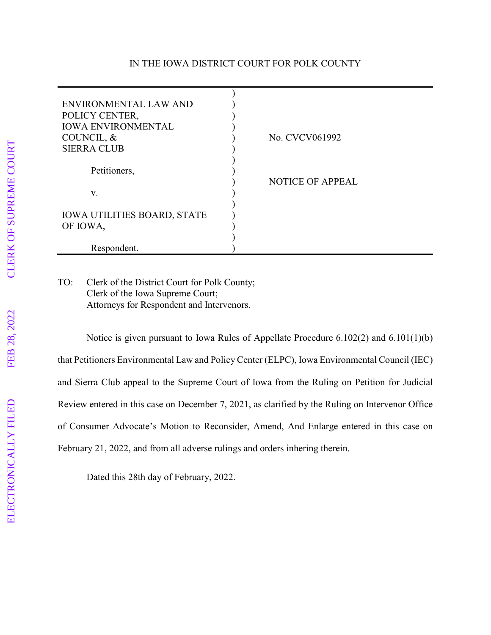## IN THE IOWA DISTRICT COURT FOR POLK COUNTY

| ENVIRONMENTAL LAW AND<br>POLICY CENTER,<br><b>IOWA ENVIRONMENTAL</b><br>COUNCIL, &<br><b>SIERRA CLUB</b> | No. CVCV061992          |
|----------------------------------------------------------------------------------------------------------|-------------------------|
|                                                                                                          |                         |
| Petitioners,                                                                                             | <b>NOTICE OF APPEAL</b> |
| V.                                                                                                       |                         |
| <b>IOWA UTILITIES BOARD, STATE</b><br>OF IOWA,                                                           |                         |
| Respondent.                                                                                              |                         |

## TO: Clerk of the District Court for Polk County; Clerk of the Iowa Supreme Court; Attorneys for Respondent and Intervenors.

Notice is given pursuant to Iowa Rules of Appellate Procedure 6.102(2) and 6.101(1)(b) that Petitioners Environmental Law and Policy Center (ELPC), Iowa Environmental Council (IEC) and Sierra Club appeal to the Supreme Court of Iowa from the Ruling on Petition for Judicial Review entered in this case on December 7, 2021, as clarified by the Ruling on Intervenor Office of Consumer Advocate's Motion to Reconsider, Amend, And Enlarge entered in this case on February 21, 2022, and from all adverse rulings and orders inhering therein.

Dated this 28th day of February, 2022.

ELECTRONICALLY FILED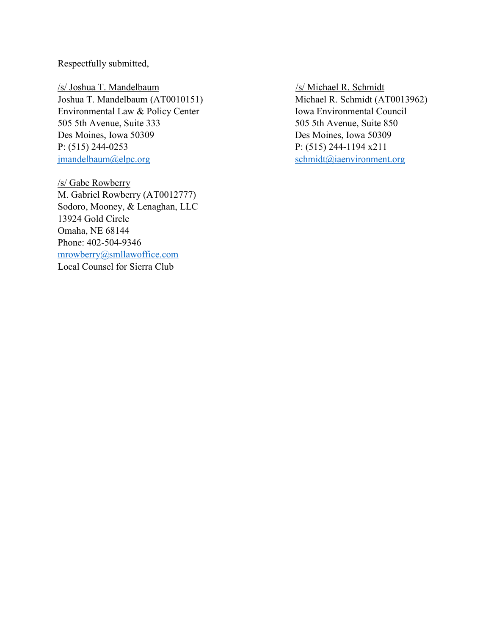Respectfully submitted,

/s/ Joshua T. Mandelbaum /s/ Michael R. Schmidt Joshua T. Mandelbaum (AT0010151) Michael R. Schmidt (AT0013962) Environmental Law & Policy Center Iowa Environmental Council 505 5th Avenue, Suite 333 505 5th Avenue, Suite 850 Des Moines, Iowa 50309 Des Moines, Iowa 50309 P: (515) 244-0253 P: (515) 244-1194 x211 [jmandelbaum@elpc.org](mailto:jmandelbaum@elpc.org) [schmidt@iaenvironment.org](mailto:schmidt@iaenvironment.org)

/s/ Gabe Rowberry M. Gabriel Rowberry (AT0012777) Sodoro, Mooney, & Lenaghan, LLC 13924 Gold Circle Omaha, NE 68144 Phone: 402-504-9346 [mrowberry@smllawoffice.com](mailto:mrowberry@smllawoffice.com) Local Counsel for Sierra Club